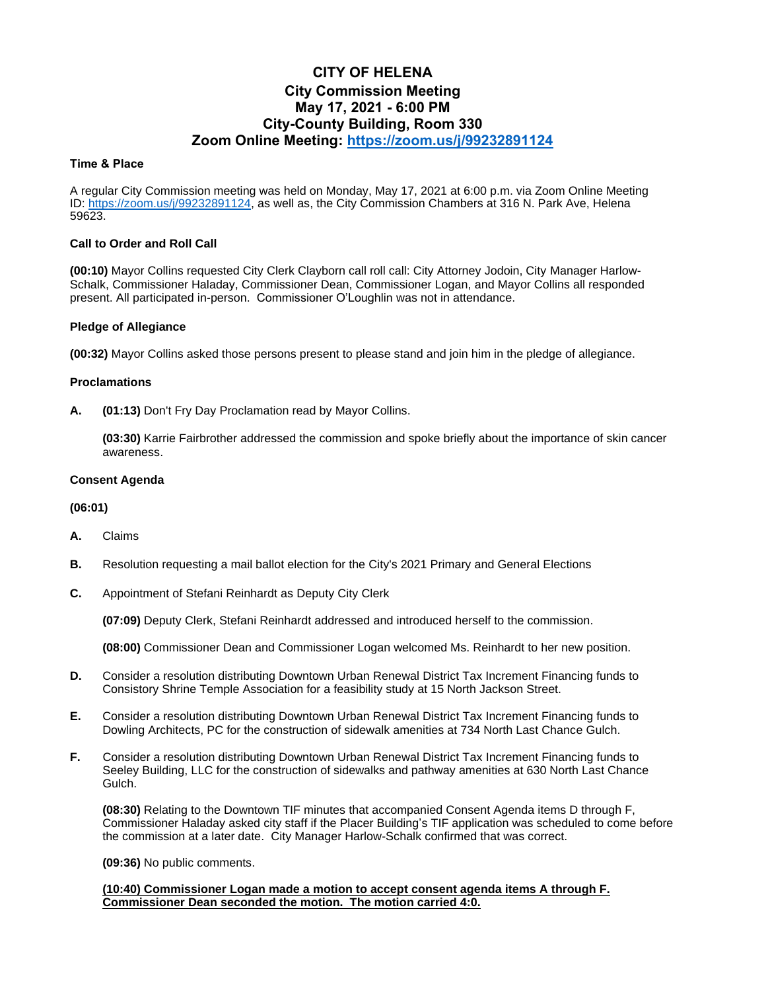# **CITY OF HELENA City Commission Meeting May 17, 2021 - 6:00 PM City-County Building, Room 330 Zoom Online Meeting: <https://zoom.us/j/99232891124>**

## **Time & Place**

A regular City Commission meeting was held on Monday, May 17, 2021 at 6:00 p.m. via Zoom Online Meeting ID: [https://zoom.us/j/99232891124,](https://zoom.us/j/99232891124) as well as, the City Commission Chambers at 316 N. Park Ave, Helena 59623.

## **Call to Order and Roll Call**

**(00:10)** Mayor Collins requested City Clerk Clayborn call roll call: City Attorney Jodoin, City Manager Harlow-Schalk, Commissioner Haladay, Commissioner Dean, Commissioner Logan, and Mayor Collins all responded present. All participated in-person. Commissioner O'Loughlin was not in attendance.

## **Pledge of Allegiance**

**(00:32)** Mayor Collins asked those persons present to please stand and join him in the pledge of allegiance.

## **Proclamations**

**A. (01:13)** Don't Fry Day Proclamation read by Mayor Collins.

**(03:30)** Karrie Fairbrother addressed the commission and spoke briefly about the importance of skin cancer awareness.

## **Consent Agenda**

#### **(06:01)**

- **A.** Claims
- **B.** Resolution requesting a mail ballot election for the City's 2021 Primary and General Elections
- **C.** Appointment of Stefani Reinhardt as Deputy City Clerk

**(07:09)** Deputy Clerk, Stefani Reinhardt addressed and introduced herself to the commission.

**(08:00)** Commissioner Dean and Commissioner Logan welcomed Ms. Reinhardt to her new position.

- **D.** Consider a resolution distributing Downtown Urban Renewal District Tax Increment Financing funds to Consistory Shrine Temple Association for a feasibility study at 15 North Jackson Street.
- **E.** Consider a resolution distributing Downtown Urban Renewal District Tax Increment Financing funds to Dowling Architects, PC for the construction of sidewalk amenities at 734 North Last Chance Gulch.
- **F.** Consider a resolution distributing Downtown Urban Renewal District Tax Increment Financing funds to Seeley Building, LLC for the construction of sidewalks and pathway amenities at 630 North Last Chance Gulch.

**(08:30)** Relating to the Downtown TIF minutes that accompanied Consent Agenda items D through F, Commissioner Haladay asked city staff if the Placer Building's TIF application was scheduled to come before the commission at a later date. City Manager Harlow-Schalk confirmed that was correct.

**(09:36)** No public comments.

#### **(10:40) Commissioner Logan made a motion to accept consent agenda items A through F. Commissioner Dean seconded the motion. The motion carried 4:0.**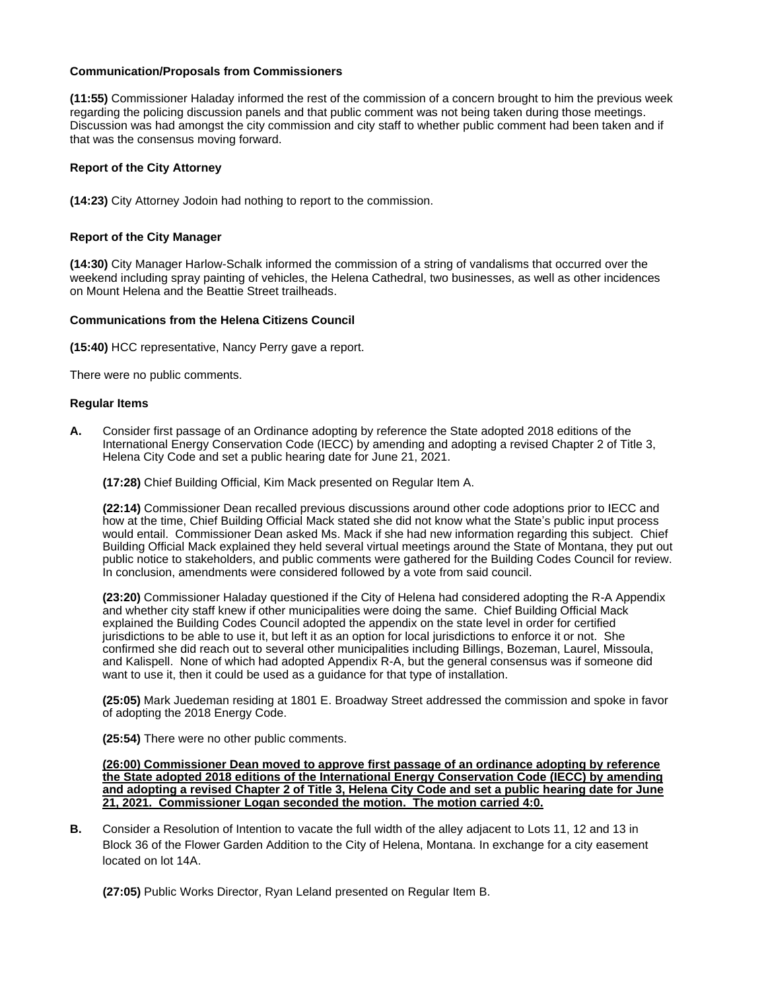## **Communication/Proposals from Commissioners**

**(11:55)** Commissioner Haladay informed the rest of the commission of a concern brought to him the previous week regarding the policing discussion panels and that public comment was not being taken during those meetings. Discussion was had amongst the city commission and city staff to whether public comment had been taken and if that was the consensus moving forward.

# **Report of the City Attorney**

**(14:23)** City Attorney Jodoin had nothing to report to the commission.

## **Report of the City Manager**

**(14:30)** City Manager Harlow-Schalk informed the commission of a string of vandalisms that occurred over the weekend including spray painting of vehicles, the Helena Cathedral, two businesses, as well as other incidences on Mount Helena and the Beattie Street trailheads.

## **Communications from the Helena Citizens Council**

**(15:40)** HCC representative, Nancy Perry gave a report.

There were no public comments.

#### **Regular Items**

**A.** Consider first passage of an Ordinance adopting by reference the State adopted 2018 editions of the International Energy Conservation Code (IECC) by amending and adopting a revised Chapter 2 of Title 3, Helena City Code and set a public hearing date for June 21, 2021.

**(17:28)** Chief Building Official, Kim Mack presented on Regular Item A.

**(22:14)** Commissioner Dean recalled previous discussions around other code adoptions prior to IECC and how at the time, Chief Building Official Mack stated she did not know what the State's public input process would entail. Commissioner Dean asked Ms. Mack if she had new information regarding this subject. Chief Building Official Mack explained they held several virtual meetings around the State of Montana, they put out public notice to stakeholders, and public comments were gathered for the Building Codes Council for review. In conclusion, amendments were considered followed by a vote from said council.

**(23:20)** Commissioner Haladay questioned if the City of Helena had considered adopting the R-A Appendix and whether city staff knew if other municipalities were doing the same. Chief Building Official Mack explained the Building Codes Council adopted the appendix on the state level in order for certified jurisdictions to be able to use it, but left it as an option for local jurisdictions to enforce it or not. She confirmed she did reach out to several other municipalities including Billings, Bozeman, Laurel, Missoula, and Kalispell. None of which had adopted Appendix R-A, but the general consensus was if someone did want to use it, then it could be used as a guidance for that type of installation.

**(25:05)** Mark Juedeman residing at 1801 E. Broadway Street addressed the commission and spoke in favor of adopting the 2018 Energy Code.

**(25:54)** There were no other public comments.

**(26:00) Commissioner Dean moved to approve first passage of an ordinance adopting by reference the State adopted 2018 editions of the International Energy Conservation Code (IECC) by amending and adopting a revised Chapter 2 of Title 3, Helena City Code and set a public hearing date for June 21, 2021. Commissioner Logan seconded the motion. The motion carried 4:0.**

**B.** Consider a Resolution of Intention to vacate the full width of the alley adjacent to Lots 11, 12 and 13 in Block 36 of the Flower Garden Addition to the City of Helena, Montana. In exchange for a city easement located on lot 14A.

**(27:05)** Public Works Director, Ryan Leland presented on Regular Item B.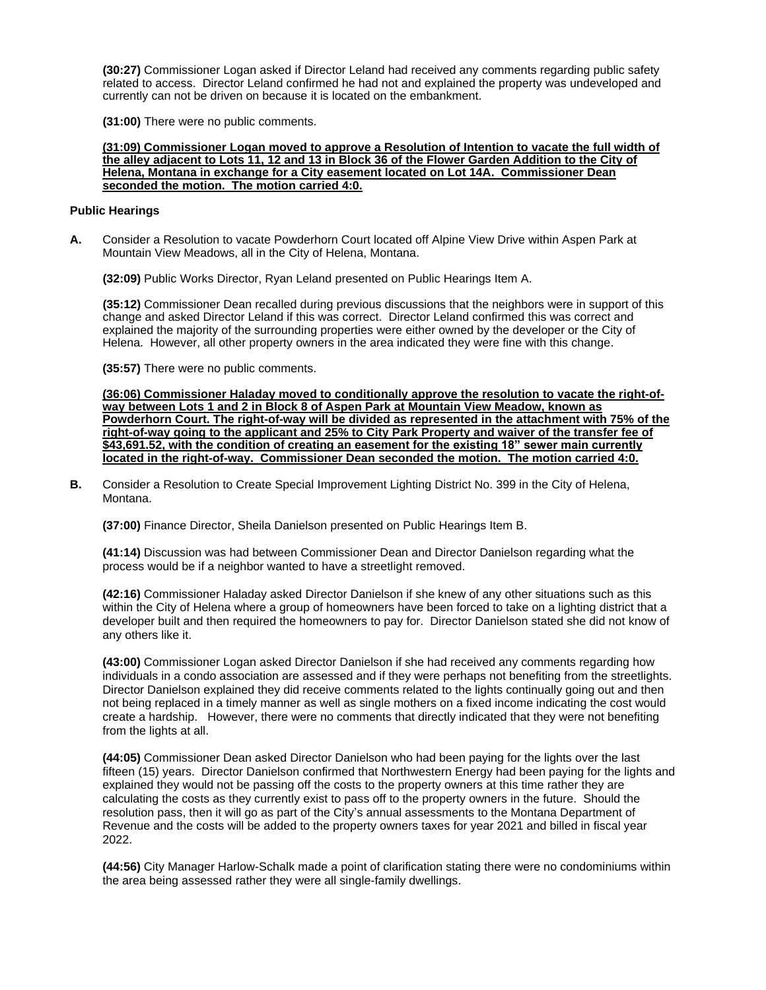**(30:27)** Commissioner Logan asked if Director Leland had received any comments regarding public safety related to access. Director Leland confirmed he had not and explained the property was undeveloped and currently can not be driven on because it is located on the embankment.

**(31:00)** There were no public comments.

#### **(31:09) Commissioner Logan moved to approve a Resolution of Intention to vacate the full width of the alley adjacent to Lots 11, 12 and 13 in Block 36 of the Flower Garden Addition to the City of Helena, Montana in exchange for a City easement located on Lot 14A. Commissioner Dean seconded the motion. The motion carried 4:0.**

## **Public Hearings**

**A.** Consider a Resolution to vacate Powderhorn Court located off Alpine View Drive within Aspen Park at Mountain View Meadows, all in the City of Helena, Montana.

**(32:09)** Public Works Director, Ryan Leland presented on Public Hearings Item A.

**(35:12)** Commissioner Dean recalled during previous discussions that the neighbors were in support of this change and asked Director Leland if this was correct. Director Leland confirmed this was correct and explained the majority of the surrounding properties were either owned by the developer or the City of Helena. However, all other property owners in the area indicated they were fine with this change.

**(35:57)** There were no public comments.

**(36:06) Commissioner Haladay moved to conditionally approve the resolution to vacate the right-ofway between Lots 1 and 2 in Block 8 of Aspen Park at Mountain View Meadow, known as Powderhorn Court. The right-of-way will be divided as represented in the attachment with 75% of the right-of-way going to the applicant and 25% to City Park Property and waiver of the transfer fee of \$43,691.52, with the condition of creating an easement for the existing 18" sewer main currently located in the right-of-way. Commissioner Dean seconded the motion. The motion carried 4:0.**

**B.** Consider a Resolution to Create Special Improvement Lighting District No. 399 in the City of Helena, Montana.

**(37:00)** Finance Director, Sheila Danielson presented on Public Hearings Item B.

**(41:14)** Discussion was had between Commissioner Dean and Director Danielson regarding what the process would be if a neighbor wanted to have a streetlight removed.

**(42:16)** Commissioner Haladay asked Director Danielson if she knew of any other situations such as this within the City of Helena where a group of homeowners have been forced to take on a lighting district that a developer built and then required the homeowners to pay for. Director Danielson stated she did not know of any others like it.

**(43:00)** Commissioner Logan asked Director Danielson if she had received any comments regarding how individuals in a condo association are assessed and if they were perhaps not benefiting from the streetlights. Director Danielson explained they did receive comments related to the lights continually going out and then not being replaced in a timely manner as well as single mothers on a fixed income indicating the cost would create a hardship. However, there were no comments that directly indicated that they were not benefiting from the lights at all.

**(44:05)** Commissioner Dean asked Director Danielson who had been paying for the lights over the last fifteen (15) years. Director Danielson confirmed that Northwestern Energy had been paying for the lights and explained they would not be passing off the costs to the property owners at this time rather they are calculating the costs as they currently exist to pass off to the property owners in the future. Should the resolution pass, then it will go as part of the City's annual assessments to the Montana Department of Revenue and the costs will be added to the property owners taxes for year 2021 and billed in fiscal year 2022.

**(44:56)** City Manager Harlow-Schalk made a point of clarification stating there were no condominiums within the area being assessed rather they were all single-family dwellings.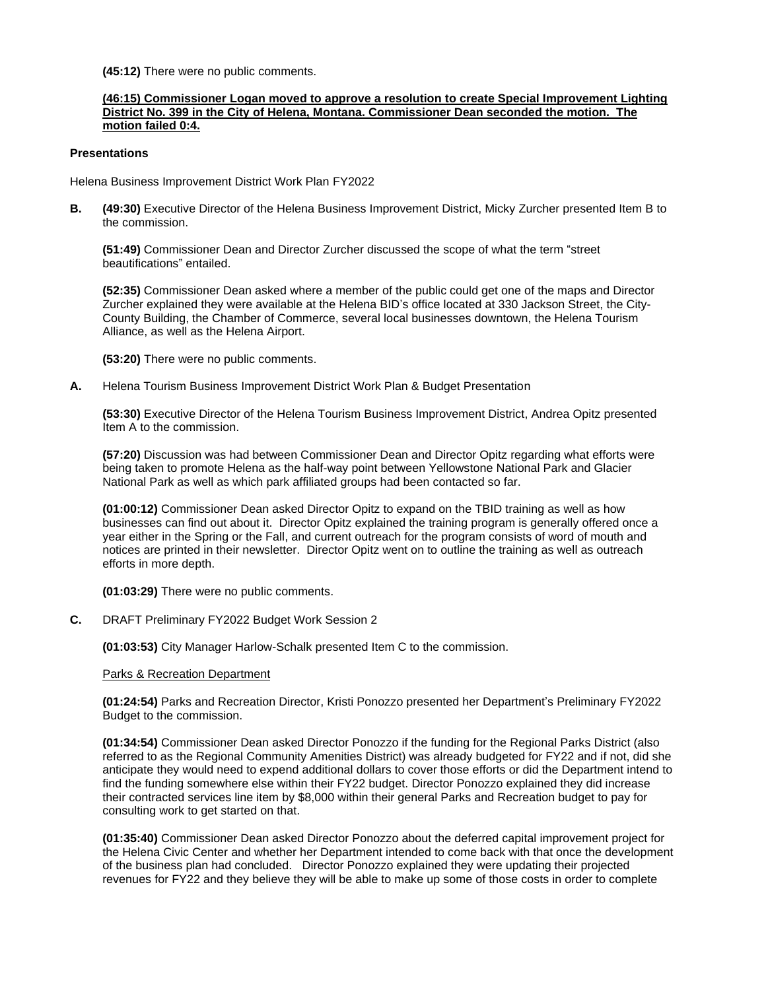**(45:12)** There were no public comments.

## **(46:15) Commissioner Logan moved to approve a resolution to create Special Improvement Lighting District No. 399 in the City of Helena, Montana. Commissioner Dean seconded the motion. The motion failed 0:4.**

#### **Presentations**

Helena Business Improvement District Work Plan FY2022

**B. (49:30)** Executive Director of the Helena Business Improvement District, Micky Zurcher presented Item B to the commission.

**(51:49)** Commissioner Dean and Director Zurcher discussed the scope of what the term "street beautifications" entailed.

**(52:35)** Commissioner Dean asked where a member of the public could get one of the maps and Director Zurcher explained they were available at the Helena BID's office located at 330 Jackson Street, the City-County Building, the Chamber of Commerce, several local businesses downtown, the Helena Tourism Alliance, as well as the Helena Airport.

**(53:20)** There were no public comments.

**A.** Helena Tourism Business Improvement District Work Plan & Budget Presentation

**(53:30)** Executive Director of the Helena Tourism Business Improvement District, Andrea Opitz presented Item A to the commission.

**(57:20)** Discussion was had between Commissioner Dean and Director Opitz regarding what efforts were being taken to promote Helena as the half-way point between Yellowstone National Park and Glacier National Park as well as which park affiliated groups had been contacted so far.

**(01:00:12)** Commissioner Dean asked Director Opitz to expand on the TBID training as well as how businesses can find out about it. Director Opitz explained the training program is generally offered once a year either in the Spring or the Fall, and current outreach for the program consists of word of mouth and notices are printed in their newsletter. Director Opitz went on to outline the training as well as outreach efforts in more depth.

**(01:03:29)** There were no public comments.

**C.** DRAFT Preliminary FY2022 Budget Work Session 2

**(01:03:53)** City Manager Harlow-Schalk presented Item C to the commission.

#### Parks & Recreation Department

**(01:24:54)** Parks and Recreation Director, Kristi Ponozzo presented her Department's Preliminary FY2022 Budget to the commission.

**(01:34:54)** Commissioner Dean asked Director Ponozzo if the funding for the Regional Parks District (also referred to as the Regional Community Amenities District) was already budgeted for FY22 and if not, did she anticipate they would need to expend additional dollars to cover those efforts or did the Department intend to find the funding somewhere else within their FY22 budget. Director Ponozzo explained they did increase their contracted services line item by \$8,000 within their general Parks and Recreation budget to pay for consulting work to get started on that.

**(01:35:40)** Commissioner Dean asked Director Ponozzo about the deferred capital improvement project for the Helena Civic Center and whether her Department intended to come back with that once the development of the business plan had concluded. Director Ponozzo explained they were updating their projected revenues for FY22 and they believe they will be able to make up some of those costs in order to complete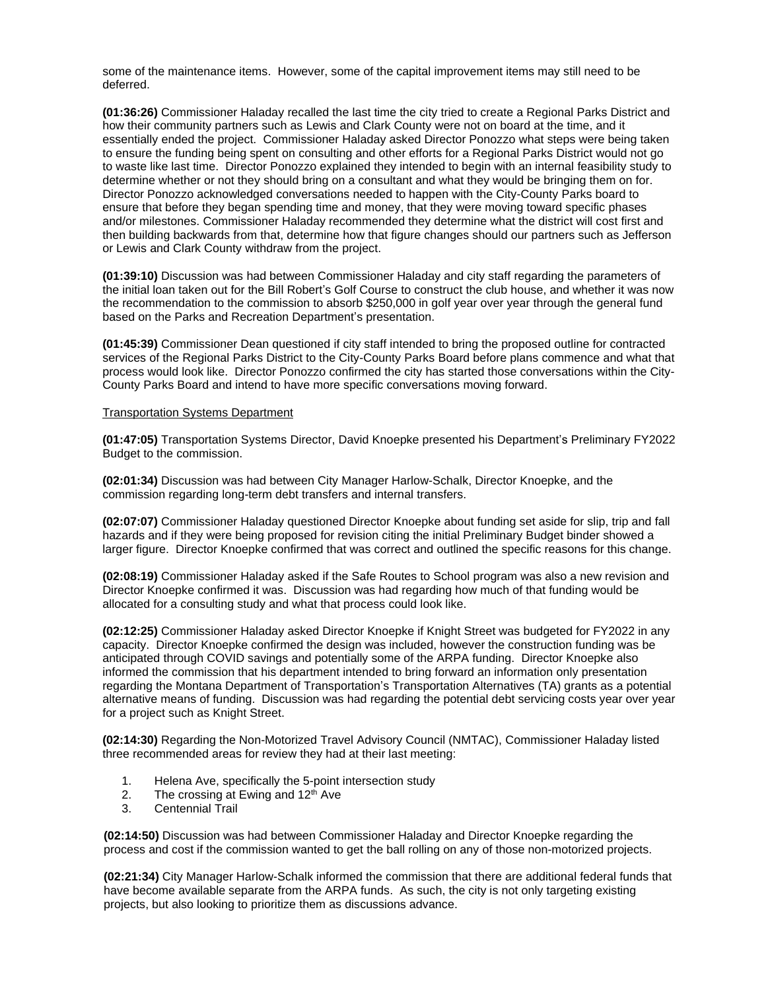some of the maintenance items. However, some of the capital improvement items may still need to be deferred.

**(01:36:26)** Commissioner Haladay recalled the last time the city tried to create a Regional Parks District and how their community partners such as Lewis and Clark County were not on board at the time, and it essentially ended the project. Commissioner Haladay asked Director Ponozzo what steps were being taken to ensure the funding being spent on consulting and other efforts for a Regional Parks District would not go to waste like last time. Director Ponozzo explained they intended to begin with an internal feasibility study to determine whether or not they should bring on a consultant and what they would be bringing them on for. Director Ponozzo acknowledged conversations needed to happen with the City-County Parks board to ensure that before they began spending time and money, that they were moving toward specific phases and/or milestones. Commissioner Haladay recommended they determine what the district will cost first and then building backwards from that, determine how that figure changes should our partners such as Jefferson or Lewis and Clark County withdraw from the project.

**(01:39:10)** Discussion was had between Commissioner Haladay and city staff regarding the parameters of the initial loan taken out for the Bill Robert's Golf Course to construct the club house, and whether it was now the recommendation to the commission to absorb \$250,000 in golf year over year through the general fund based on the Parks and Recreation Department's presentation.

**(01:45:39)** Commissioner Dean questioned if city staff intended to bring the proposed outline for contracted services of the Regional Parks District to the City-County Parks Board before plans commence and what that process would look like. Director Ponozzo confirmed the city has started those conversations within the City-County Parks Board and intend to have more specific conversations moving forward.

#### Transportation Systems Department

**(01:47:05)** Transportation Systems Director, David Knoepke presented his Department's Preliminary FY2022 Budget to the commission.

**(02:01:34)** Discussion was had between City Manager Harlow-Schalk, Director Knoepke, and the commission regarding long-term debt transfers and internal transfers.

**(02:07:07)** Commissioner Haladay questioned Director Knoepke about funding set aside for slip, trip and fall hazards and if they were being proposed for revision citing the initial Preliminary Budget binder showed a larger figure. Director Knoepke confirmed that was correct and outlined the specific reasons for this change.

**(02:08:19)** Commissioner Haladay asked if the Safe Routes to School program was also a new revision and Director Knoepke confirmed it was. Discussion was had regarding how much of that funding would be allocated for a consulting study and what that process could look like.

**(02:12:25)** Commissioner Haladay asked Director Knoepke if Knight Street was budgeted for FY2022 in any capacity. Director Knoepke confirmed the design was included, however the construction funding was be anticipated through COVID savings and potentially some of the ARPA funding. Director Knoepke also informed the commission that his department intended to bring forward an information only presentation regarding the Montana Department of Transportation's Transportation Alternatives (TA) grants as a potential alternative means of funding. Discussion was had regarding the potential debt servicing costs year over year for a project such as Knight Street.

**(02:14:30)** Regarding the Non-Motorized Travel Advisory Council (NMTAC), Commissioner Haladay listed three recommended areas for review they had at their last meeting:

- 1. Helena Ave, specifically the 5-point intersection study
- 2. The crossing at Ewing and  $12<sup>th</sup>$  Ave
- 3. Centennial Trail

**(02:14:50)** Discussion was had between Commissioner Haladay and Director Knoepke regarding the process and cost if the commission wanted to get the ball rolling on any of those non-motorized projects.

**(02:21:34)** City Manager Harlow-Schalk informed the commission that there are additional federal funds that have become available separate from the ARPA funds. As such, the city is not only targeting existing projects, but also looking to prioritize them as discussions advance.